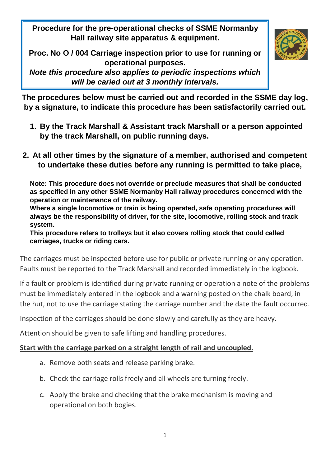**Procedure for the pre-operational checks of SSME Normanby Hall railway site apparatus & equipment.**

**Proc. No O / 004 Carriage inspection prior to use for running or operational purposes.**

*Note this procedure also applies to periodic inspections which will be caried out at 3 monthly intervals.* 



**The procedures below must be carried out and recorded in the SSME day log, by a signature, to indicate this procedure has been satisfactorily carried out.**

- **1. By the Track Marshall & Assistant track Marshall or a person appointed by the track Marshall, on public running days.**
- **2. At all other times by the signature of a member, authorised and competent to undertake these duties before any running is permitted to take place,**

**Note: This procedure does not override or preclude measures that shall be conducted as specified in any other SSME Normanby Hall railway procedures concerned with the operation or maintenance of the railway.**

**Where a single locomotive or train is being operated, safe operating procedures will always be the responsibility of driver, for the site, locomotive, rolling stock and track system.**

**This procedure refers to trolleys but it also covers rolling stock that could called carriages, trucks or riding cars.**

The carriages must be inspected before use for public or private running or any operation. Faults must be reported to the Track Marshall and recorded immediately in the logbook.

If a fault or problem is identified during private running or operation a note of the problems must be immediately entered in the logbook and a warning posted on the chalk board, in the hut, not to use the carriage stating the carriage number and the date the fault occurred.

Inspection of the carriages should be done slowly and carefully as they are heavy.

Attention should be given to safe lifting and handling procedures.

## **Start with the carriage parked on a straight length of rail and uncoupled.**

- a. Remove both seats and release parking brake.
- b. Check the carriage rolls freely and all wheels are turning freely.
- c. Apply the brake and checking that the brake mechanism is moving and operational on both bogies.